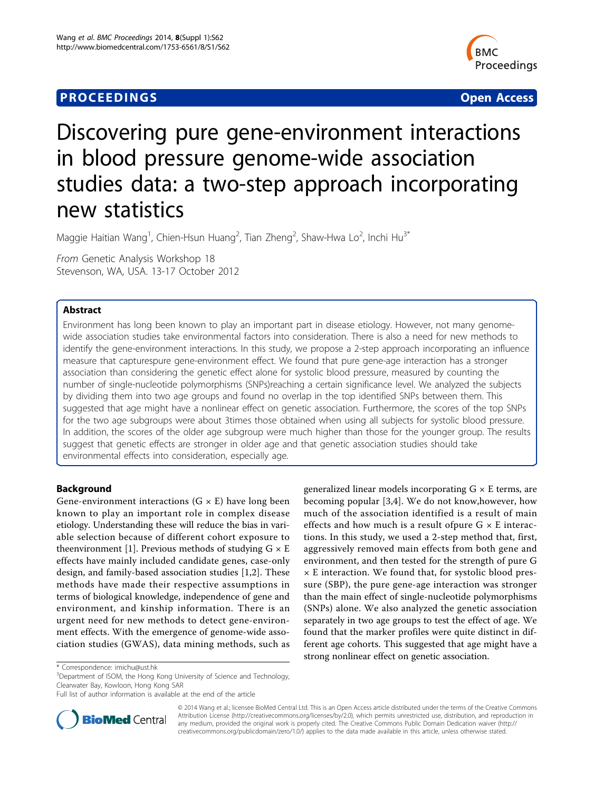# **PROCEEDINGS STATES CONSUMING S** Open Access **CONSUMING S**



# Discovering pure gene-environment interactions in blood pressure genome-wide association studies data: a two-step approach incorporating new statistics

Maggie Haitian Wang<sup>1</sup>, Chien-Hsun Huang<sup>2</sup>, Tian Zheng<sup>2</sup>, Shaw-Hwa Lo<sup>2</sup>, Inchi Hu<sup>3\*</sup>

From Genetic Analysis Workshop 18 Stevenson, WA, USA. 13-17 October 2012

# Abstract

Environment has long been known to play an important part in disease etiology. However, not many genomewide association studies take environmental factors into consideration. There is also a need for new methods to identify the gene-environment interactions. In this study, we propose a 2-step approach incorporating an influence measure that capturespure gene-environment effect. We found that pure gene-age interaction has a stronger association than considering the genetic effect alone for systolic blood pressure, measured by counting the number of single-nucleotide polymorphisms (SNPs)reaching a certain significance level. We analyzed the subjects by dividing them into two age groups and found no overlap in the top identified SNPs between them. This suggested that age might have a nonlinear effect on genetic association. Furthermore, the scores of the top SNPs for the two age subgroups were about 3times those obtained when using all subjects for systolic blood pressure. In addition, the scores of the older age subgroup were much higher than those for the younger group. The results suggest that genetic effects are stronger in older age and that genetic association studies should take environmental effects into consideration, especially age.

# Background

Gene-environment interactions  $(G \times E)$  have long been known to play an important role in complex disease etiology. Understanding these will reduce the bias in variable selection because of different cohort exposure to theenvironment [\[1](#page-4-0)]. Previous methods of studying  $G \times E$ effects have mainly included candidate genes, case-only design, and family-based association studies [\[1,2](#page-4-0)]. These methods have made their respective assumptions in terms of biological knowledge, independence of gene and environment, and kinship information. There is an urgent need for new methods to detect gene-environment effects. With the emergence of genome-wide association studies (GWAS), data mining methods, such as

<sup>3</sup>Department of ISOM, the Hong Kong University of Science and Technology, Clearwater Bay, Kowloon, Hong Kong SAR

Full list of author information is available at the end of the article



becoming popular [[3,4](#page-4-0)]. We do not know,however, how much of the association identified is a result of main effects and how much is a result ofpure  $G \times E$  interactions. In this study, we used a 2-step method that, first, aggressively removed main effects from both gene and environment, and then tested for the strength of pure G × E interaction. We found that, for systolic blood pressure (SBP), the pure gene-age interaction was stronger than the main effect of single-nucleotide polymorphisms (SNPs) alone. We also analyzed the genetic association separately in two age groups to test the effect of age. We found that the marker profiles were quite distinct in different age cohorts. This suggested that age might have a strong nonlinear effect on genetic association.

generalized linear models incorporating  $G \times E$  terms, are

© 2014 Wang et al.; licensee BioMed Central Ltd. This is an Open Access article distributed under the terms of the Creative Commons Attribution License [\(http://creativecommons.org/licenses/by/2.0](http://creativecommons.org/licenses/by/2.0)), which permits unrestricted use, distribution, and reproduction in any medium, provided the original work is properly cited. The Creative Commons Public Domain Dedication waiver [\(http://](http://creativecommons.org/publicdomain/zero/1.0/) [creativecommons.org/publicdomain/zero/1.0/](http://creativecommons.org/publicdomain/zero/1.0/)) applies to the data made available in this article, unless otherwise stated.

<sup>\*</sup> Correspondence: [imichu@ust.hk](mailto:imichu@ust.hk)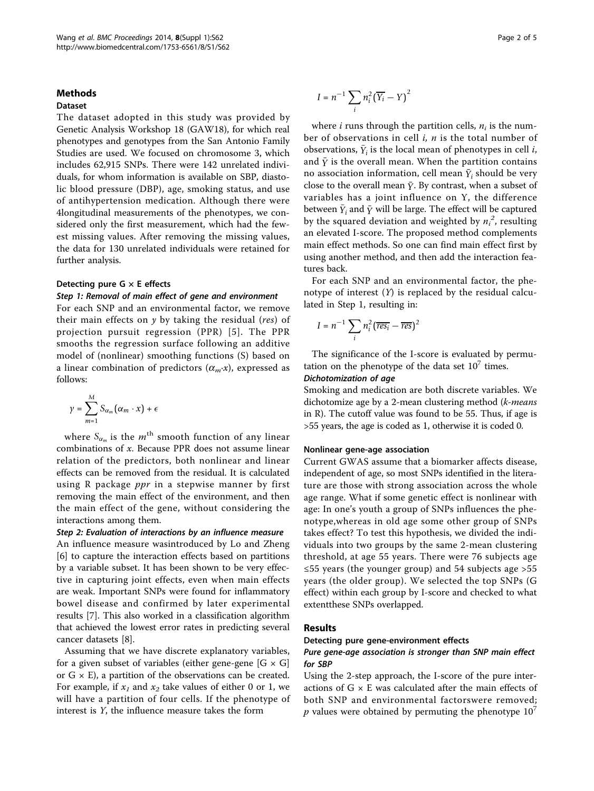### Methods

# Dataset

The dataset adopted in this study was provided by Genetic Analysis Workshop 18 (GAW18), for which real phenotypes and genotypes from the San Antonio Family Studies are used. We focused on chromosome 3, which includes 62,915 SNPs. There were 142 unrelated individuals, for whom information is available on SBP, diastolic blood pressure (DBP), age, smoking status, and use of antihypertension medication. Although there were 4longitudinal measurements of the phenotypes, we considered only the first measurement, which had the fewest missing values. After removing the missing values, the data for 130 unrelated individuals were retained for further analysis.

## Detecting pure  $G \times E$  effects

# Step 1: Removal of main effect of gene and environment

For each SNP and an environmental factor, we remove their main effects on  $y$  by taking the residual (res) of projection pursuit regression (PPR) [[5\]](#page-4-0). The PPR smooths the regression surface following an additive model of (nonlinear) smoothing functions (S) based on a linear combination of predictors  $(\alpha_m \cdot x)$ , expressed as follows:

$$
\gamma = \sum_{m=1}^{M} S_{\alpha_m}(\alpha_m \cdot x) + \epsilon
$$

where  $S_{\alpha_m}$  is the  $m^{\text{th}}$  smooth function of any linear combinations of x. Because PPR does not assume linear relation of the predictors, both nonlinear and linear effects can be removed from the residual. It is calculated using R package  $ppr$  in a stepwise manner by first removing the main effect of the environment, and then the main effect of the gene, without considering the interactions among them.

# Step 2: Evaluation of interactions by an influence measure

An influence measure wasintroduced by Lo and Zheng [[6\]](#page-4-0) to capture the interaction effects based on partitions by a variable subset. It has been shown to be very effective in capturing joint effects, even when main effects are weak. Important SNPs were found for inflammatory bowel disease and confirmed by later experimental results [[7\]](#page-4-0). This also worked in a classification algorithm that achieved the lowest error rates in predicting several cancer datasets [\[8\]](#page-4-0).

Assuming that we have discrete explanatory variables, for a given subset of variables (either gene-gene  $[G \times G]$ or  $G \times E$ ), a partition of the observations can be created. For example, if  $x_1$  and  $x_2$  take values of either 0 or 1, we will have a partition of four cells. If the phenotype of interest is Y, the influence measure takes the form

$$
I = n^{-1} \sum_{i} n_i^2 (\overline{Y_i} - Y)^2
$$

where *i* runs through the partition cells,  $n_i$  is the number of observations in cell  $i$ ,  $n$  is the total number of observations,  $\bar{Y}_i$  is the local mean of phenotypes in cell *i*, and  $\bar{y}$  is the overall mean. When the partition contains no association information, cell mean  $\bar{Y}_i$  should be very close to the overall mean  $\bar{Y}$ . By contrast, when a subset of variables has a joint influence on Y, the difference between  $\bar{Y}_i$  and  $\bar{Y}$  will be large. The effect will be captured by the squared deviation and weighted by  $n_i^2$ , resulting an elevated I-score. The proposed method complements main effect methods. So one can find main effect first by using another method, and then add the interaction features back.

For each SNP and an environmental factor, the phenotype of interest  $(Y)$  is replaced by the residual calculated in Step 1, resulting in:

$$
I = n^{-1} \sum_{i} n_i^2 (\overline{res_i} - \overline{res})^2
$$

The significance of the I-score is evaluated by permutation on the phenotype of the data set  $10<sup>7</sup>$  times.

### Dichotomization of age

Smoking and medication are both discrete variables. We dichotomize age by a 2-mean clustering method (k-means in R). The cutoff value was found to be 55. Thus, if age is >55 years, the age is coded as 1, otherwise it is coded 0.

#### Nonlinear gene-age association

Current GWAS assume that a biomarker affects disease, independent of age, so most SNPs identified in the literature are those with strong association across the whole age range. What if some genetic effect is nonlinear with age: In one's youth a group of SNPs influences the phenotype,whereas in old age some other group of SNPs takes effect? To test this hypothesis, we divided the individuals into two groups by the same 2-mean clustering threshold, at age 55 years. There were 76 subjects age ≤55 years (the younger group) and 54 subjects age >55 years (the older group). We selected the top SNPs (G effect) within each group by I-score and checked to what extentthese SNPs overlapped.

#### Results

#### Detecting pure gene-environment effects

# Pure gene-age association is stronger than SNP main effect for SBP

Using the 2-step approach, the I-score of the pure interactions of  $G \times E$  was calculated after the main effects of both SNP and environmental factorswere removed; p values were obtained by permuting the phenotype  $10<sup>7</sup>$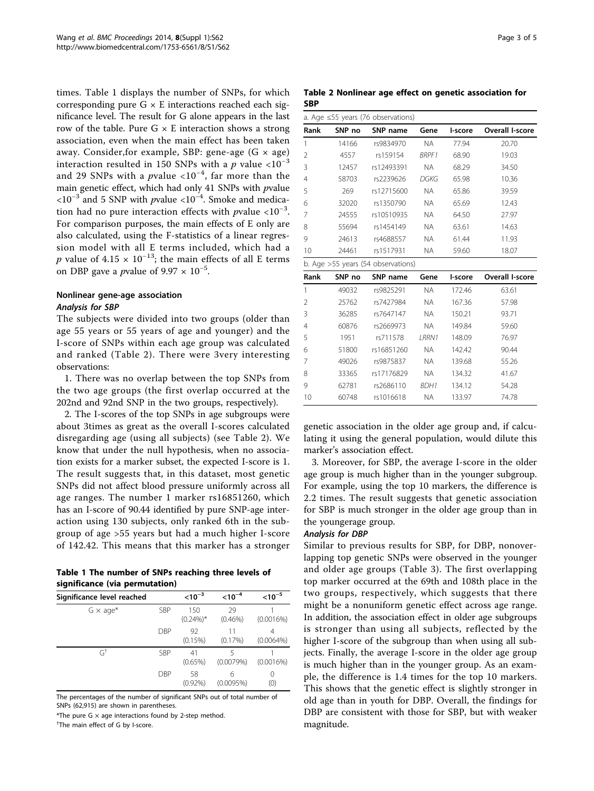times. Table 1 displays the number of SNPs, for which corresponding pure  $G \times E$  interactions reached each significance level. The result for G alone appears in the last row of the table. Pure  $G \times E$  interaction shows a strong association, even when the main effect has been taken away. Consider, for example, SBP: gene-age  $(G \times age)$ interaction resulted in 150 SNPs with a p value  $\langle 10^{-3}$ and 29 SNPs with a  $p$ value <10<sup>-4</sup>, far more than the main genetic effect, which had only 41 SNPs with pvalue  $<10^{-3}$  and 5 SNP with *p*value <10<sup>-4</sup>. Smoke and medication had no pure interaction effects with *p*value <10<sup>-3</sup>. For comparison purposes, the main effects of E only are also calculated, using the F-statistics of a linear regression model with all E terms included, which had a *p* value of 4.15 ×  $10^{-13}$ ; the main effects of all E terms on DBP gave a *p*value of  $9.97 \times 10^{-5}$ .

# Nonlinear gene-age association Analysis for SBP

The subjects were divided into two groups (older than age 55 years or 55 years of age and younger) and the I-score of SNPs within each age group was calculated and ranked (Table 2). There were 3very interesting observations:

1. There was no overlap between the top SNPs from the two age groups (the first overlap occurred at the 202nd and 92nd SNP in the two groups, respectively).

2. The I-scores of the top SNPs in age subgroups were about 3times as great as the overall I-scores calculated disregarding age (using all subjects) (see Table 2). We know that under the null hypothesis, when no association exists for a marker subset, the expected I-score is 1. The result suggests that, in this dataset, most genetic SNPs did not affect blood pressure uniformly across all age ranges. The number 1 marker rs16851260, which has an I-score of 90.44 identified by pure SNP-age interaction using 130 subjects, only ranked 6th in the subgroup of age >55 years but had a much higher I-score of 142.42. This means that this marker has a stronger

| Table 1 The number of SNPs reaching three levels of |  |
|-----------------------------------------------------|--|
| significance (via permutation)                      |  |

| Significance level reached |            | $< 10^{-3}$        | $< 10^{-4}$      | $< 10^{-5}$             |
|----------------------------|------------|--------------------|------------------|-------------------------|
| $G \times aqe^*$           | SBP        | 150<br>$(0.24\%)*$ | 29<br>$(0.46\%)$ | (0.0016%)               |
|                            | <b>DBP</b> | 92<br>(0.15%)      | 11<br>$(0.17\%)$ | 4<br>$(0.0064\%)$       |
| $G^{\dagger}$              | SBP        | 41<br>$(0.65\%)$   | (0.0079%)        | (0.0016%)               |
|                            | <b>DBP</b> | 58<br>$(0.92\%)$   | 6<br>(0.0095%)   | $\left( \right)$<br>(0) |

The percentages of the number of significant SNPs out of total number of SNPs (62,915) are shown in parentheses

\*The pure G  $\times$  age interactions found by 2-step method.

† The main effect of G by I-score.

|     |  |  |  | Table 2 Nonlinear age effect on genetic association for |  |
|-----|--|--|--|---------------------------------------------------------|--|
| SBP |  |  |  |                                                         |  |

| a. Age $\leq$ 55 years (76 observations) |        |                                    |              |         |                 |  |
|------------------------------------------|--------|------------------------------------|--------------|---------|-----------------|--|
| Rank                                     | SNP no | SNP name                           | Gene         | l-score | Overall I-score |  |
| 1                                        | 14166  | rs9834970                          | <b>NA</b>    | 77.94   | 20.70           |  |
| 2                                        | 4557   | rs159154                           | <b>BRPF1</b> | 68.90   | 19.03           |  |
| 3                                        | 12457  | rs12493391                         | <b>NA</b>    | 68.29   | 34.50           |  |
| 4                                        | 58703  | rs2239626                          | DGKG         | 65.98   | 10.36           |  |
| 5                                        | 269    | rs12715600                         | <b>NA</b>    | 65.86   | 39.59           |  |
| 6                                        | 32020  | rs1350790                          | <b>NA</b>    | 65.69   | 12.43           |  |
| 7                                        | 24555  | rs10510935                         | <b>NA</b>    | 64.50   | 27.97           |  |
| 8                                        | 55694  | rs1454149                          | <b>NA</b>    | 63.61   | 14.63           |  |
| 9                                        | 24613  | rs4688557                          | <b>NA</b>    | 61.44   | 11.93           |  |
| 10                                       | 24461  | rs1517931                          | <b>NA</b>    | 59.60   | 18.07           |  |
|                                          |        | b. Age >55 years (54 observations) |              |         |                 |  |
| Rank                                     | SNP no | SNP name                           | Gene         | l-score | Overall I-score |  |
| 1                                        | 49032  | rs9825291                          | <b>NA</b>    | 172.46  | 63.61           |  |
| $\overline{2}$                           | 25762  | rs7427984                          | <b>NA</b>    | 167.36  | 57.98           |  |
| 3                                        | 36285  | rs7647147                          | <b>NA</b>    | 150.21  | 93.71           |  |
| 4                                        | 60876  | rs2669973                          | <b>NA</b>    | 149.84  | 59.60           |  |
| 5                                        | 1951   | rs711578                           | LRRN1        | 148.09  | 76.97           |  |
| 6                                        | 51800  | rs16851260                         | <b>NA</b>    | 142.42  | 90.44           |  |
| 7                                        | 49026  | rs9875837                          | NA.          | 139.68  | 55.26           |  |
| 8                                        | 33365  | rs17176829                         | <b>NA</b>    | 134.32  | 41.67           |  |
| 9                                        | 62781  | rs2686110                          | <b>BDH1</b>  | 134.12  | 54.28           |  |
| 10                                       | 60748  | rs1016618                          | <b>NA</b>    | 133.97  | 74.78           |  |

genetic association in the older age group and, if calculating it using the general population, would dilute this marker's association effect.

3. Moreover, for SBP, the average I-score in the older age group is much higher than in the younger subgroup. For example, using the top 10 markers, the difference is 2.2 times. The result suggests that genetic association for SBP is much stronger in the older age group than in the youngerage group.

#### Analysis for DBP

Similar to previous results for SBP, for DBP, nonoverlapping top genetic SNPs were observed in the younger and older age groups (Table [3](#page-3-0)). The first overlapping top marker occurred at the 69th and 108th place in the two groups, respectively, which suggests that there might be a nonuniform genetic effect across age range. In addition, the association effect in older age subgroups is stronger than using all subjects, reflected by the higher I-score of the subgroup than when using all subjects. Finally, the average I-score in the older age group is much higher than in the younger group. As an example, the difference is 1.4 times for the top 10 markers. This shows that the genetic effect is slightly stronger in old age than in youth for DBP. Overall, the findings for DBP are consistent with those for SBP, but with weaker magnitude.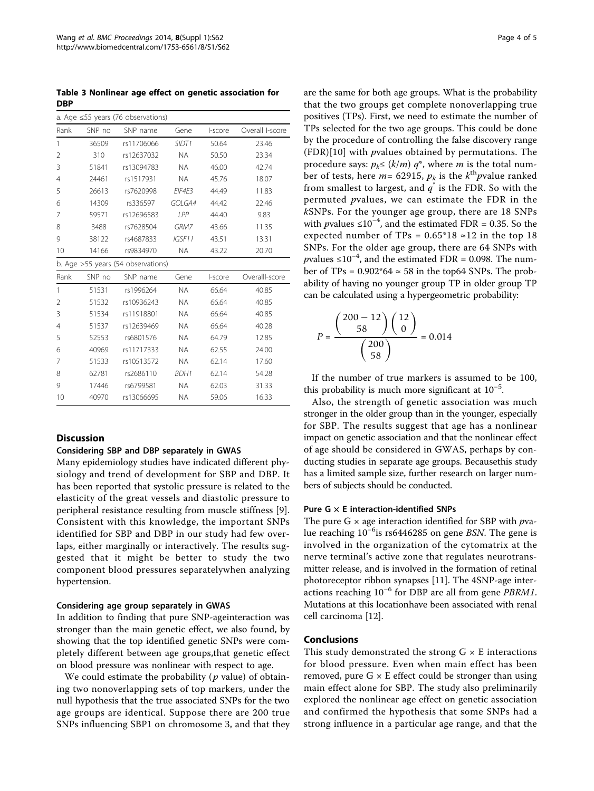<span id="page-3-0"></span>Table 3 Nonlinear age effect on genetic association for DBP

| a. Age $\leq$ 55 years (76 observations) |        |                                    |           |         |                 |  |
|------------------------------------------|--------|------------------------------------|-----------|---------|-----------------|--|
| Rank                                     | SNP no | SNP name                           | Gene      | I-score | Overall I-score |  |
| 1                                        | 36509  | rs11706066                         | SIDT1     | 50.64   | 23.46           |  |
| $\overline{2}$                           | 310    | rs12637032                         | <b>NA</b> | 50.50   | 23.34           |  |
| 3                                        | 51841  | rs13094783                         | <b>NA</b> | 46.00   | 42.74           |  |
| 4                                        | 24461  | rs1517931                          | <b>NA</b> | 45.76   | 18.07           |  |
| 5                                        | 26613  | rs7620998                          | EIF4E3    | 44.49   | 11.83           |  |
| 6                                        | 14309  | rs336597                           | GOLGA4    | 44.42   | 22.46           |  |
| 7                                        | 59571  | rs12696583                         | I PP      | 44.40   | 9.83            |  |
| 8                                        | 3488   | rs7628504                          | GRM7      | 43.66   | 11.35           |  |
| 9                                        | 38122  | rs4687833                          | IGSF11    | 43.51   | 13.31           |  |
| 10                                       | 14166  | rs9834970                          | <b>NA</b> | 43.22   | 20.70           |  |
|                                          |        | b. Age >55 years (54 observations) |           |         |                 |  |
| Rank                                     | SNP no | SNP name                           | Gene      | I-score | OverallI-score  |  |
| 1                                        | 51531  | rs1996264                          | <b>NA</b> | 66.64   | 40.85           |  |
| $\overline{2}$                           | 51532  | rs10936243                         | <b>NA</b> | 66.64   | 40.85           |  |
| 3                                        | 51534  | rs11918801                         | <b>NA</b> | 66.64   | 40.85           |  |
| 4                                        | 51537  | rs12639469                         | <b>NA</b> | 66.64   | 40.28           |  |
| 5                                        | 52553  | rs6801576                          | <b>NA</b> | 64.79   | 12.85           |  |
| 6                                        | 40969  | rs11717333                         | <b>NA</b> | 62.55   | 24.00           |  |
| 7                                        | 51533  | rs10513572                         | <b>NA</b> | 62.14   | 17.60           |  |
| 8                                        | 62781  | rs2686110                          | BDH1      | 62.14   | 54.28           |  |
| 9                                        | 17446  | rs6799581                          | <b>NA</b> | 62.03   | 31.33           |  |
| 10                                       | 40970  | rs13066695                         | <b>NA</b> | 59.06   | 16.33           |  |

### **Discussion**

#### Considering SBP and DBP separately in GWAS

Many epidemiology studies have indicated different physiology and trend of development for SBP and DBP. It has been reported that systolic pressure is related to the elasticity of the great vessels and diastolic pressure to peripheral resistance resulting from muscle stiffness [[9](#page-4-0)]. Consistent with this knowledge, the important SNPs identified for SBP and DBP in our study had few overlaps, either marginally or interactively. The results suggested that it might be better to study the two component blood pressures separatelywhen analyzing hypertension.

#### Considering age group separately in GWAS

In addition to finding that pure SNP-ageinteraction was stronger than the main genetic effect, we also found, by showing that the top identified genetic SNPs were completely different between age groups,that genetic effect on blood pressure was nonlinear with respect to age.

We could estimate the probability ( $p$  value) of obtaining two nonoverlapping sets of top markers, under the null hypothesis that the true associated SNPs for the two age groups are identical. Suppose there are 200 true SNPs influencing SBP1 on chromosome 3, and that they are the same for both age groups. What is the probability that the two groups get complete nonoverlapping true positives (TPs). First, we need to estimate the number of TPs selected for the two age groups. This could be done by the procedure of controlling the false discovery range (FDR)[[10\]](#page-4-0) with pvalues obtained by permutations. The procedure says:  $p_k \le (k/m) q^*$ , where *m* is the total number of tests, here  $m=$  62915,  $p_k$  is the  $k^{\text{th}}$  *p*value ranked from smallest to largest, and  $q^*$  is the FDR. So with the permuted pvalues, we can estimate the FDR in the kSNPs. For the younger age group, there are 18 SNPs with *p*values ≤10<sup>-4</sup>, and the estimated FDR = 0.35. So the expected number of TPs =  $0.65*18 \approx 12$  in the top 18 SNPs. For the older age group, there are 64 SNPs with pvalues  $\leq 10^{-4}$ , and the estimated FDR = 0.098. The number of TPs =  $0.902*64 \approx 58$  in the top64 SNPs. The probability of having no younger group TP in older group TP can be calculated using a hypergeometric probability:

$$
P = \frac{\binom{200 - 12}{58} \binom{12}{0}}{\binom{200}{58}} = 0.014
$$

If the number of true markers is assumed to be 100, this probability is much more significant at  $10^{-5}$ .

Also, the strength of genetic association was much stronger in the older group than in the younger, especially for SBP. The results suggest that age has a nonlinear impact on genetic association and that the nonlinear effect of age should be considered in GWAS, perhaps by conducting studies in separate age groups. Becausethis study has a limited sample size, further research on larger numbers of subjects should be conducted.

#### Pure  $G \times E$  interaction-identified SNPs

The pure  $G \times$  age interaction identified for SBP with  $p$ value reaching 10<sup>-6</sup>is rs6446285 on gene BSN. The gene is involved in the organization of the cytomatrix at the nerve terminal's active zone that regulates neurotransmitter release, and is involved in the formation of retinal photoreceptor ribbon synapses [\[11\]](#page-4-0). The 4SNP-age interactions reaching  $10^{-6}$  for DBP are all from gene *PBRM1*. Mutations at this locationhave been associated with renal cell carcinoma [\[12](#page-4-0)].

#### Conclusions

This study demonstrated the strong  $G \times E$  interactions for blood pressure. Even when main effect has been removed, pure  $G \times E$  effect could be stronger than using main effect alone for SBP. The study also preliminarily explored the nonlinear age effect on genetic association and confirmed the hypothesis that some SNPs had a strong influence in a particular age range, and that the